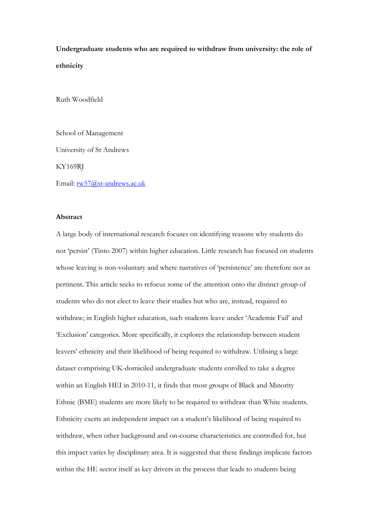**Undergraduate students who are required to withdraw from university: the role of ethnicity**

Ruth Woodfield

School of Management University of St Andrews KY169RJ Email: [rw57@st-andrews.ac.uk](mailto:rw57@st-andrews.ac.uk)

### **Abstract**

A large body of international research focuses on identifying reasons why students do not 'persist' (Tinto 2007) within higher education. Little research has focused on students whose leaving is non-voluntary and where narratives of 'persistence' are therefore not as pertinent. This article seeks to refocus some of the attention onto the distinct group of students who do not elect to leave their studies but who are, instead, required to withdraw; in English higher education, such students leave under 'Academic Fail' and 'Exclusion' categories. More specifically, it explores the relationship between student leavers' ethnicity and their likelihood of being required to withdraw. Utilising a large dataset comprising UK-domiciled undergraduate students enrolled to take a degree within an English HEI in 2010-11, it finds that most groups of Black and Minority Ethnic (BME) students are more likely to be required to withdraw than White students. Ethnicity exerts an independent impact on a student's likelihood of being required to withdraw, when other background and on-course characteristics are controlled for, but this impact varies by disciplinary area. It is suggested that these findings implicate factors within the HE sector itself as key drivers in the process that leads to students being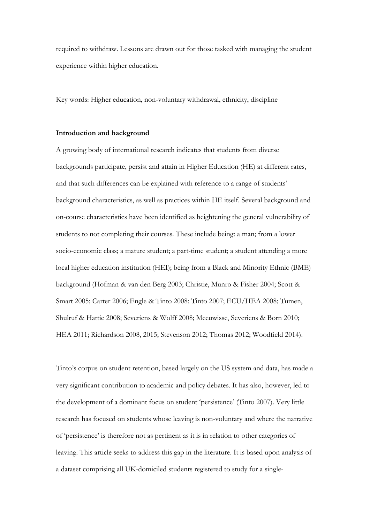required to withdraw. Lessons are drawn out for those tasked with managing the student experience within higher education.

Key words: Higher education, non-voluntary withdrawal, ethnicity, discipline

### **Introduction and background**

A growing body of international research indicates that students from diverse backgrounds participate, persist and attain in Higher Education (HE) at different rates, and that such differences can be explained with reference to a range of students' background characteristics, as well as practices within HE itself. Several background and on-course characteristics have been identified as heightening the general vulnerability of students to not completing their courses. These include being: a man; from a lower socio-economic class; a mature student; a part-time student; a student attending a more local higher education institution (HEI); being from a Black and Minority Ethnic (BME) background (Hofman & van den Berg 2003; Christie, Munro & Fisher 2004; Scott & Smart 2005; Carter 2006; Engle & Tinto 2008; Tinto 2007; ECU/HEA 2008; Tumen, Shulruf & Hattie 2008; Severiens & Wolff 2008; Meeuwisse, Severiens & Born 2010; HEA 2011; Richardson 2008, 2015; Stevenson 2012; Thomas 2012; Woodfield 2014).

Tinto's corpus on student retention, based largely on the US system and data, has made a very significant contribution to academic and policy debates. It has also, however, led to the development of a dominant focus on student 'persistence' (Tinto 2007). Very little research has focused on students whose leaving is non-voluntary and where the narrative of 'persistence' is therefore not as pertinent as it is in relation to other categories of leaving. This article seeks to address this gap in the literature. It is based upon analysis of a dataset comprising all UK-domiciled students registered to study for a single-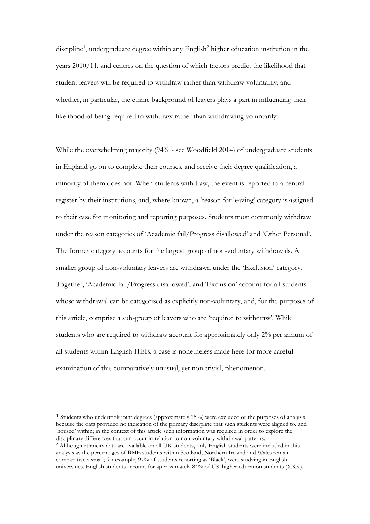discipline<sup>[1](#page-2-0)</sup>, undergraduate degree within any English<sup>[2](#page-2-1)</sup> higher education institution in the years 2010/11, and centres on the question of which factors predict the likelihood that student leavers will be required to withdraw rather than withdraw voluntarily, and whether, in particular, the ethnic background of leavers plays a part in influencing their likelihood of being required to withdraw rather than withdrawing voluntarily.

While the overwhelming majority (94% - see Woodfield 2014) of undergraduate students in England go on to complete their courses, and receive their degree qualification, a minority of them does not. When students withdraw, the event is reported to a central register by their institutions, and, where known, a 'reason for leaving' category is assigned to their case for monitoring and reporting purposes. Students most commonly withdraw under the reason categories of 'Academic fail/Progress disallowed' and 'Other Personal'. The former category accounts for the largest group of non-voluntary withdrawals. A smaller group of non-voluntary leavers are withdrawn under the 'Exclusion' category. Together, 'Academic fail/Progress disallowed', and 'Exclusion' account for all students whose withdrawal can be categorised as explicitly non-voluntary, and, for the purposes of this article, comprise a sub-group of leavers who are 'required to withdraw'. While students who are required to withdraw account for approximately only 2% per annum of all students within English HEIs, a case is nonetheless made here for more careful examination of this comparatively unusual, yet non-trivial, phenomenon.

<span id="page-2-0"></span> <sup>1</sup> Students who undertook joint degrees (approximately 15%) were excluded or the purposes of analysis because the data provided no indication of the primary discipline that such students were aligned to, and 'housed' within; in the context of this article such information was required in order to explore the disciplinary differences that can occur in relation to non-voluntary withdrawal patterns.

<span id="page-2-1"></span><sup>2</sup> Although ethnicity data are available on all UK students, only English students were included in this analysis as the percentages of BME students within Scotland, Northern Ireland and Wales remain comparatively small; for example, 97% of students reporting as 'Black', were studying in English universities. English students account for approximately 84% of UK higher education students (XXX).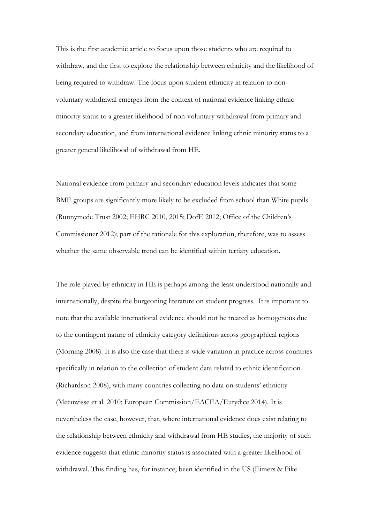This is the first academic article to focus upon those students who are required to withdraw, and the first to explore the relationship between ethnicity and the likelihood of being required to withdraw. The focus upon student ethnicity in relation to nonvoluntary withdrawal emerges from the context of national evidence linking ethnic minority status to a greater likelihood of non-voluntary withdrawal from primary and secondary education, and from international evidence linking ethnic minority status to a greater general likelihood of withdrawal from HE.

National evidence from primary and secondary education levels indicates that some BME groups are significantly more likely to be excluded from school than White pupils (Runnymede Trust 2002; EHRC 2010, 2015; DofE 2012; Office of the Children's Commissioner 2012); part of the rationale for this exploration, therefore, was to assess whether the same observable trend can be identified within tertiary education.

The role played by ethnicity in HE is perhaps among the least understood nationally and internationally, despite the burgeoning literature on student progress. It is important to note that the available international evidence should not be treated as homogenous due to the contingent nature of ethnicity category definitions across geographical regions (Morning 2008). It is also the case that there is wide variation in practice across countries specifically in relation to the collection of student data related to ethnic identification (Richardson 2008), with many countries collecting no data on students' ethnicity (Meeuwisse et al. 2010; European Commission/EACEA/Eurydice 2014). It is nevertheless the case, however, that, where international evidence does exist relating to the relationship between ethnicity and withdrawal from HE studies, the majority of such evidence suggests that ethnic minority status is associated with a greater likelihood of withdrawal. This finding has, for instance, been identified in the US (Eimers & Pike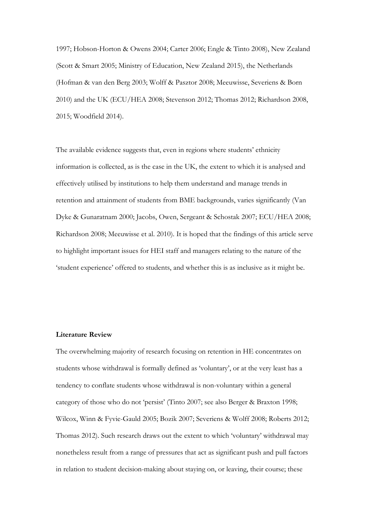1997; Hobson-Horton & Owens 2004; Carter 2006; Engle & Tinto 2008), New Zealand (Scott & Smart 2005; Ministry of Education, New Zealand 2015), the Netherlands (Hofman & van den Berg 2003; Wolff & Pasztor 2008; Meeuwisse, Severiens & Born 2010) and the UK (ECU/HEA 2008; Stevenson 2012; Thomas 2012; Richardson 2008, 2015; Woodfield 2014).

The available evidence suggests that, even in regions where students' ethnicity information is collected, as is the case in the UK, the extent to which it is analysed and effectively utilised by institutions to help them understand and manage trends in retention and attainment of students from BME backgrounds, varies significantly (Van Dyke & Gunaratnam 2000; Jacobs, Owen, Sergeant & Schostak 2007; ECU/HEA 2008; Richardson 2008; Meeuwisse et al. 2010). It is hoped that the findings of this article serve to highlight important issues for HEI staff and managers relating to the nature of the 'student experience' offered to students, and whether this is as inclusive as it might be.

### **Literature Review**

The overwhelming majority of research focusing on retention in HE concentrates on students whose withdrawal is formally defined as 'voluntary', or at the very least has a tendency to conflate students whose withdrawal is non-voluntary within a general category of those who do not 'persist' (Tinto 2007; see also Berger & Braxton 1998; Wilcox, Winn & Fyvie-Gauld 2005; Bozik 2007; Severiens & Wolff 2008; Roberts 2012; Thomas 2012). Such research draws out the extent to which 'voluntary' withdrawal may nonetheless result from a range of pressures that act as significant push and pull factors in relation to student decision-making about staying on, or leaving, their course; these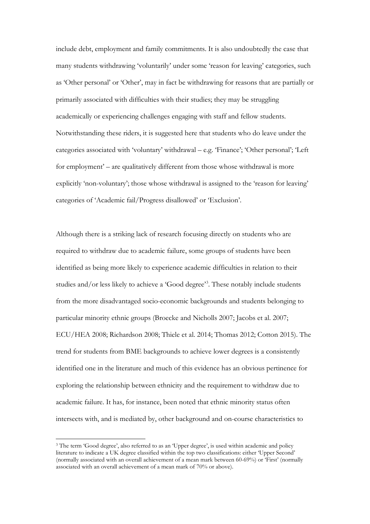include debt, employment and family commitments. It is also undoubtedly the case that many students withdrawing 'voluntarily' under some 'reason for leaving' categories, such as 'Other personal' or 'Other', may in fact be withdrawing for reasons that are partially or primarily associated with difficulties with their studies; they may be struggling academically or experiencing challenges engaging with staff and fellow students. Notwithstanding these riders, it is suggested here that students who do leave under the categories associated with 'voluntary' withdrawal – e.g. 'Finance'; 'Other personal'; 'Left for employment' – are qualitatively different from those whose withdrawal is more explicitly 'non-voluntary'; those whose withdrawal is assigned to the 'reason for leaving' categories of 'Academic fail/Progress disallowed' or 'Exclusion'.

Although there is a striking lack of research focusing directly on students who are required to withdraw due to academic failure, some groups of students have been identified as being more likely to experience academic difficulties in relation to their studies and/or less likely to achieve a 'Good degree'<sup>[3](#page-5-0)</sup>. These notably include students from the more disadvantaged socio-economic backgrounds and students belonging to particular minority ethnic groups (Broecke and Nicholls 2007; Jacobs et al. 2007; ECU/HEA 2008; Richardson 2008; Thiele et al. 2014; Thomas 2012; Cotton 2015). The trend for students from BME backgrounds to achieve lower degrees is a consistently identified one in the literature and much of this evidence has an obvious pertinence for exploring the relationship between ethnicity and the requirement to withdraw due to academic failure. It has, for instance, been noted that ethnic minority status often intersects with, and is mediated by, other background and on-course characteristics to

<span id="page-5-0"></span><sup>&</sup>lt;sup>3</sup> The term 'Good degree', also referred to as an 'Upper degree', is used within academic and policy literature to indicate a UK degree classified within the top two classifications: either 'Upper Second' (normally associated with an overall achievement of a mean mark between 60-69%) or 'First' (normally associated with an overall achievement of a mean mark of 70% or above).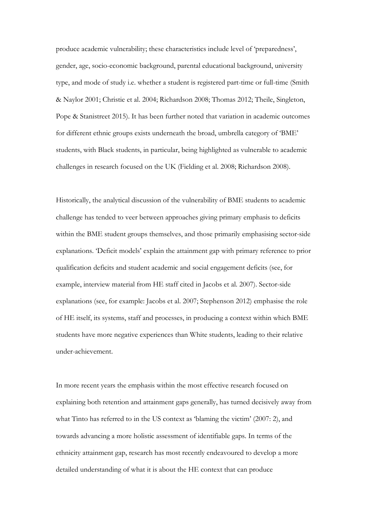produce academic vulnerability; these characteristics include level of 'preparedness', gender, age, socio-economic background, parental educational background, university type, and mode of study i.e. whether a student is registered part-time or full-time (Smith & Naylor 2001; Christie et al. 2004; Richardson 2008; Thomas 2012; Theile, Singleton, Pope & Stanistreet 2015). It has been further noted that variation in academic outcomes for different ethnic groups exists underneath the broad, umbrella category of 'BME' students, with Black students, in particular, being highlighted as vulnerable to academic challenges in research focused on the UK (Fielding et al. 2008; Richardson 2008).

Historically, the analytical discussion of the vulnerability of BME students to academic challenge has tended to veer between approaches giving primary emphasis to deficits within the BME student groups themselves, and those primarily emphasising sector-side explanations. 'Deficit models' explain the attainment gap with primary reference to prior qualification deficits and student academic and social engagement deficits (see, for example, interview material from HE staff cited in Jacobs et al. 2007). Sector-side explanations (see, for example: Jacobs et al. 2007; Stephenson 2012) emphasise the role of HE itself, its systems, staff and processes, in producing a context within which BME students have more negative experiences than White students, leading to their relative under-achievement.

In more recent years the emphasis within the most effective research focused on explaining both retention and attainment gaps generally, has turned decisively away from what Tinto has referred to in the US context as 'blaming the victim' (2007: 2), and towards advancing a more holistic assessment of identifiable gaps. In terms of the ethnicity attainment gap, research has most recently endeavoured to develop a more detailed understanding of what it is about the HE context that can produce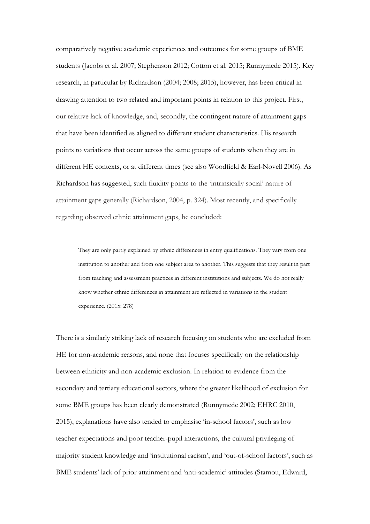comparatively negative academic experiences and outcomes for some groups of BME students (Jacobs et al. 2007; Stephenson 2012; Cotton et al. 2015; Runnymede 2015). Key research, in particular by Richardson (2004; 2008; 2015), however, has been critical in drawing attention to two related and important points in relation to this project. First, our relative lack of knowledge, and, secondly, the contingent nature of attainment gaps that have been identified as aligned to different student characteristics. His research points to variations that occur across the same groups of students when they are in different HE contexts, or at different times (see also Woodfield & Earl-Novell 2006). As Richardson has suggested, such fluidity points to the 'intrinsically social' nature of attainment gaps generally (Richardson, 2004, p. 324). Most recently, and specifically regarding observed ethnic attainment gaps, he concluded:

They are only partly explained by ethnic differences in entry qualifications. They vary from one institution to another and from one subject area to another. This suggests that they result in part from teaching and assessment practices in different institutions and subjects. We do not really know whether ethnic differences in attainment are reflected in variations in the student experience. (2015: 278)

There is a similarly striking lack of research focusing on students who are excluded from HE for non-academic reasons, and none that focuses specifically on the relationship between ethnicity and non-academic exclusion. In relation to evidence from the secondary and tertiary educational sectors, where the greater likelihood of exclusion for some BME groups has been clearly demonstrated (Runnymede 2002; EHRC 2010, 2015), explanations have also tended to emphasise 'in-school factors', such as low teacher expectations and poor teacher-pupil interactions, the cultural privileging of majority student knowledge and 'institutional racism', and 'out-of-school factors', such as BME students' lack of prior attainment and 'anti-academic' attitudes (Stamou, Edward,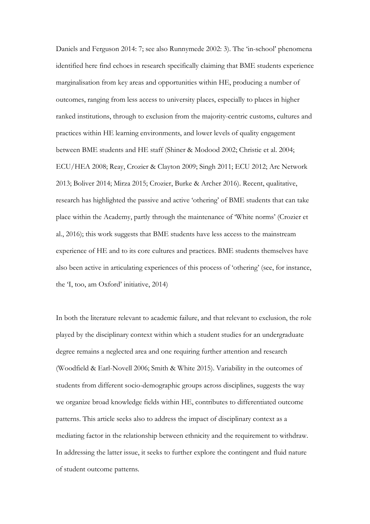Daniels and Ferguson 2014: 7; see also Runnymede 2002: 3). The 'in-school' phenomena identified here find echoes in research specifically claiming that BME students experience marginalisation from key areas and opportunities within HE, producing a number of outcomes, ranging from less access to university places, especially to places in higher ranked institutions, through to exclusion from the majority-centric customs, cultures and practices within HE learning environments, and lower levels of quality engagement between BME students and HE staff (Shiner & Modood 2002; Christie et al. 2004; ECU/HEA 2008; Reay, Crozier & Clayton 2009; Singh 2011; ECU 2012; Arc Network 2013; Boliver 2014; Mirza 2015; Crozier, Burke & Archer 2016). Recent, qualitative, research has highlighted the passive and active 'othering' of BME students that can take place within the Academy, partly through the maintenance of 'White norms' (Crozier et al., 2016); this work suggests that BME students have less access to the mainstream experience of HE and to its core cultures and practices. BME students themselves have also been active in articulating experiences of this process of 'othering' (see, for instance, the 'I, too, am Oxford' initiative, 2014)

In both the literature relevant to academic failure, and that relevant to exclusion, the role played by the disciplinary context within which a student studies for an undergraduate degree remains a neglected area and one requiring further attention and research (Woodfield & Earl-Novell 2006; Smith & White 2015). Variability in the outcomes of students from different socio-demographic groups across disciplines, suggests the way we organize broad knowledge fields within HE, contributes to differentiated outcome patterns. This article seeks also to address the impact of disciplinary context as a mediating factor in the relationship between ethnicity and the requirement to withdraw. In addressing the latter issue, it seeks to further explore the contingent and fluid nature of student outcome patterns.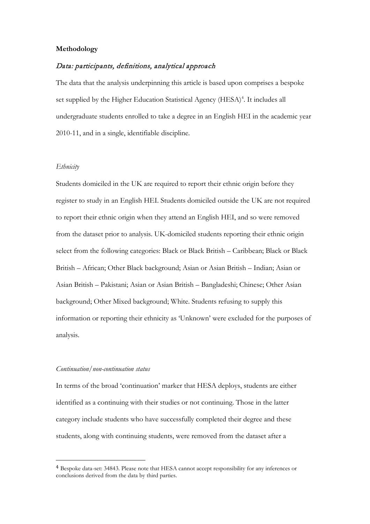#### **Methodology**

# Data: participants, definitions, analytical approach

The data that the analysis underpinning this article is based upon comprises a bespoke set supplied by the Higher Education Statistical Agency (HESA)<sup>[4](#page-9-0)</sup>. It includes all undergraduate students enrolled to take a degree in an English HEI in the academic year 2010-11, and in a single, identifiable discipline.

# *Ethnicity*

Students domiciled in the UK are required to report their ethnic origin before they register to study in an English HEI. Students domiciled outside the UK are not required to report their ethnic origin when they attend an English HEI, and so were removed from the dataset prior to analysis. UK-domiciled students reporting their ethnic origin select from the following categories: Black or Black British – Caribbean; Black or Black British – African; Other Black background; Asian or Asian British – Indian; Asian or Asian British – Pakistani; Asian or Asian British – Bangladeshi; Chinese; Other Asian background; Other Mixed background; White. Students refusing to supply this information or reporting their ethnicity as 'Unknown' were excluded for the purposes of analysis.

#### *Continuation/non-continuation status*

In terms of the broad 'continuation' marker that HESA deploys, students are either identified as a continuing with their studies or not continuing. Those in the latter category include students who have successfully completed their degree and these students, along with continuing students, were removed from the dataset after a

<span id="page-9-0"></span> <sup>4</sup> Bespoke data-set: 34843. Please note that HESA cannot accept responsibility for any inferences or conclusions derived from the data by third parties.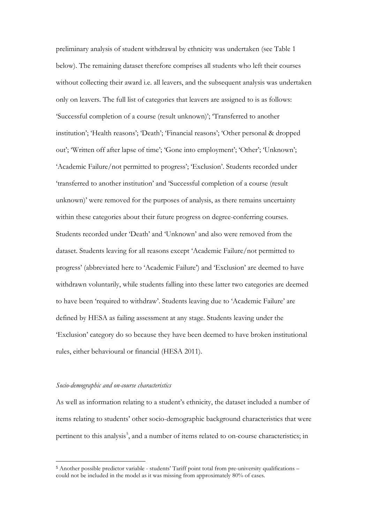preliminary analysis of student withdrawal by ethnicity was undertaken (see Table 1 below). The remaining dataset therefore comprises all students who left their courses without collecting their award i.e. all leavers, and the subsequent analysis was undertaken only on leavers. The full list of categories that leavers are assigned to is as follows: 'Successful completion of a course (result unknown)'; 'Transferred to another institution'; 'Health reasons'; 'Death'; 'Financial reasons'; 'Other personal & dropped out'; 'Written off after lapse of time'; 'Gone into employment'; 'Other'; 'Unknown'; 'Academic Failure/not permitted to progress'; 'Exclusion'. Students recorded under 'transferred to another institution' and 'Successful completion of a course (result unknown)' were removed for the purposes of analysis, as there remains uncertainty within these categories about their future progress on degree-conferring courses. Students recorded under 'Death' and 'Unknown' and also were removed from the dataset. Students leaving for all reasons except 'Academic Failure/not permitted to progress' (abbreviated here to 'Academic Failure') and 'Exclusion' are deemed to have withdrawn voluntarily, while students falling into these latter two categories are deemed to have been 'required to withdraw'. Students leaving due to 'Academic Failure' are defined by HESA as failing assessment at any stage. Students leaving under the 'Exclusion' category do so because they have been deemed to have broken institutional rules, either behavioural or financial (HESA 2011).

### *Socio-demographic and on-course characteristics*

As well as information relating to a student's ethnicity, the dataset included a number of items relating to students' other socio-demographic background characteristics that were pertinent to this analysis<sup>[5](#page-10-0)</sup>, and a number of items related to on-course characteristics; in

<span id="page-10-0"></span> <sup>5</sup> Another possible predictor variable - students' Tariff point total from pre-university qualifications – could not be included in the model as it was missing from approximately 80% of cases.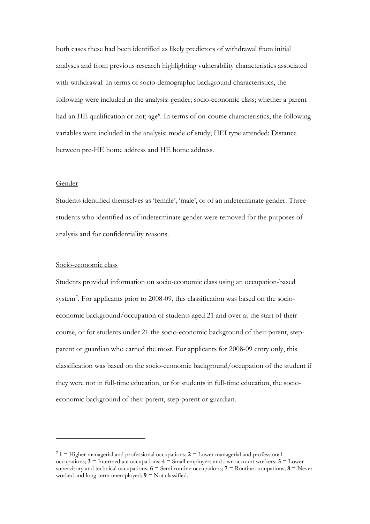both cases these had been identified as likely predictors of withdrawal from initial analyses and from previous research highlighting vulnerability characteristics associated with withdrawal. In terms of socio-demographic background characteristics, the following were included in the analysis: gender; socio-economic class; whether a parent had an HE qualification or not; age<sup>[6](#page-11-0)</sup>. In terms of on-course characteristics, the following variables were included in the analysis: mode of study; HEI type attended; Distance between pre-HE home address and HE home address.

#### Gender

i,

Students identified themselves as 'female', 'male', or of an indeterminate gender. Three students who identified as of indeterminate gender were removed for the purposes of analysis and for confidentiality reasons.

#### Socio-economic class

Students provided information on socio-economic class using an occupation-based system[7](#page-11-1) . For applicants prior to 2008-09, this classification was based on the socioeconomic background/occupation of students aged 21 and over at the start of their course, or for students under 21 the socio-economic background of their parent, stepparent or guardian who earned the most. For applicants for 2008-09 entry only, this classification was based on the socio-economic background/occupation of the student if they were not in full-time education, or for students in full-time education, the socioeconomic background of their parent, step-parent or guardian.

<span id="page-11-1"></span><span id="page-11-0"></span><sup>7</sup> **1** = Higher managerial and professional occupations; **2** = Lower managerial and professional occupations; **3** = Intermediate occupations; **4** = Small employers and own account workers; **5** = Lower supervisory and technical occupations; **6** = Semi-routine occupations; **7** = Routine occupations; **8** = Never worked and long-term unemployed;  $9 =$  Not classified.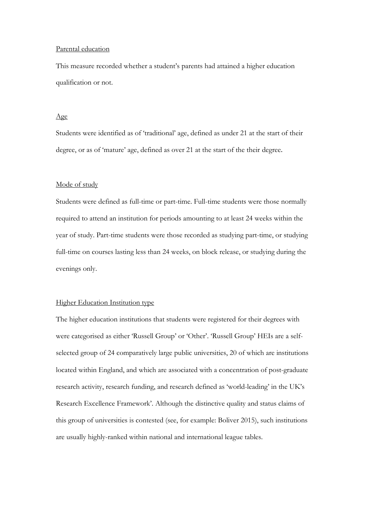#### Parental education

This measure recorded whether a student's parents had attained a higher education qualification or not.

#### Age

Students were identified as of 'traditional' age, defined as under 21 at the start of their degree, or as of 'mature' age, defined as over 21 at the start of the their degree.

#### Mode of study

Students were defined as full-time or part-time. Full-time students were those normally required to attend an institution for periods amounting to at least 24 weeks within the year of study. Part-time students were those recorded as studying part-time, or studying full-time on courses lasting less than 24 weeks, on block release, or studying during the evenings only.

# Higher Education Institution type

The higher education institutions that students were registered for their degrees with were categorised as either 'Russell Group' or 'Other'. 'Russell Group' HEIs are a selfselected group of 24 comparatively large public universities, 20 of which are institutions located within England, and which are associated with a concentration of post-graduate research activity, research funding, and research defined as 'world-leading' in the UK's Research Excellence Framework'. Although the distinctive quality and status claims of this group of universities is contested (see, for example: Boliver 2015), such institutions are usually highly-ranked within national and international league tables.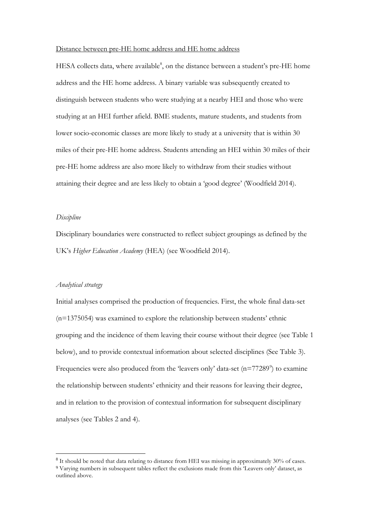# Distance between pre-HE home address and HE home address

HESA collects data, where available<sup>[8](#page-13-0)</sup>, on the distance between a student's pre-HE home address and the HE home address. A binary variable was subsequently created to distinguish between students who were studying at a nearby HEI and those who were studying at an HEI further afield. BME students, mature students, and students from lower socio-economic classes are more likely to study at a university that is within 30 miles of their pre-HE home address. Students attending an HEI within 30 miles of their pre-HE home address are also more likely to withdraw from their studies without attaining their degree and are less likely to obtain a 'good degree' (Woodfield 2014).

#### *Discipline*

Disciplinary boundaries were constructed to reflect subject groupings as defined by the UK's *Higher Education Academy* (HEA) (see Woodfield 2014).

#### *Analytical strategy*

Initial analyses comprised the production of frequencies. First, the whole final data-set (n=1375054) was examined to explore the relationship between students' ethnic grouping and the incidence of them leaving their course without their degree (see Table 1 below), and to provide contextual information about selected disciplines (See Table 3). Frequencies were also produced from the 'leavers only' data-set  $(n=77289)$  $(n=77289)$  $(n=77289)$ ' to examine the relationship between students' ethnicity and their reasons for leaving their degree, and in relation to the provision of contextual information for subsequent disciplinary analyses (see Tables 2 and 4).

<span id="page-13-1"></span><span id="page-13-0"></span><sup>8</sup> It should be noted that data relating to distance from HEI was missing in approximately 30% of cases. <sup>9</sup> Varying numbers in subsequent tables reflect the exclusions made from this 'Leavers only' dataset, as outlined above.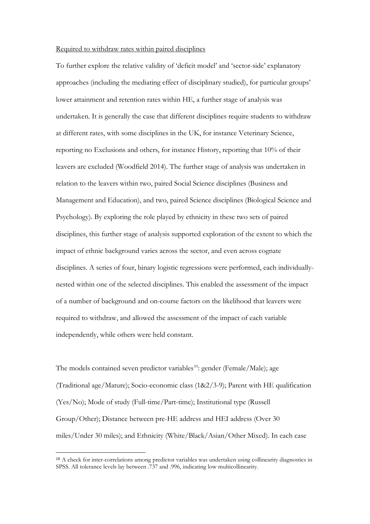#### Required to withdraw rates within paired disciplines

To further explore the relative validity of 'deficit model' and 'sector-side' explanatory approaches (including the mediating effect of disciplinary studied), for particular groups' lower attainment and retention rates within HE, a further stage of analysis was undertaken. It is generally the case that different disciplines require students to withdraw at different rates, with some disciplines in the UK, for instance Veterinary Science, reporting no Exclusions and others, for instance History, reporting that 10% of their leavers are excluded (Woodfield 2014). The further stage of analysis was undertaken in relation to the leavers within two, paired Social Science disciplines (Business and Management and Education), and two, paired Science disciplines (Biological Science and Psychology). By exploring the role played by ethnicity in these two sets of paired disciplines, this further stage of analysis supported exploration of the extent to which the impact of ethnic background varies across the sector, and even across cognate disciplines. A series of four, binary logistic regressions were performed, each individuallynested within one of the selected disciplines. This enabled the assessment of the impact of a number of background and on-course factors on the likelihood that leavers were required to withdraw, and allowed the assessment of the impact of each variable independently, while others were held constant.

The models contained seven predictor variables<sup>[10](#page-14-0)</sup>: gender (Female/Male); age (Traditional age/Mature); Socio-economic class (1&2/3-9); Parent with HE qualification (Yes/No); Mode of study (Full-time/Part-time); Institutional type (Russell Group/Other); Distance between pre-HE address and HEI address (Over 30 miles/Under 30 miles); and Ethnicity (White/Black/Asian/Other Mixed). In each case

<span id="page-14-0"></span> <sup>10</sup> A check for inter-correlations among predictor variables was undertaken using collinearity diagnostics in SPSS. All tolerance levels lay between .737 and .996, indicating low multicollinearity.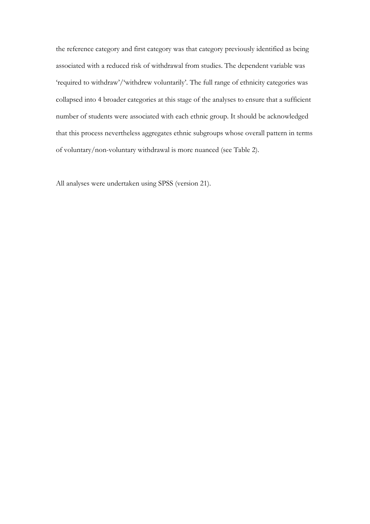the reference category and first category was that category previously identified as being associated with a reduced risk of withdrawal from studies. The dependent variable was 'required to withdraw'/'withdrew voluntarily'. The full range of ethnicity categories was collapsed into 4 broader categories at this stage of the analyses to ensure that a sufficient number of students were associated with each ethnic group. It should be acknowledged that this process nevertheless aggregates ethnic subgroups whose overall pattern in terms of voluntary/non-voluntary withdrawal is more nuanced (see Table 2).

All analyses were undertaken using SPSS (version 21).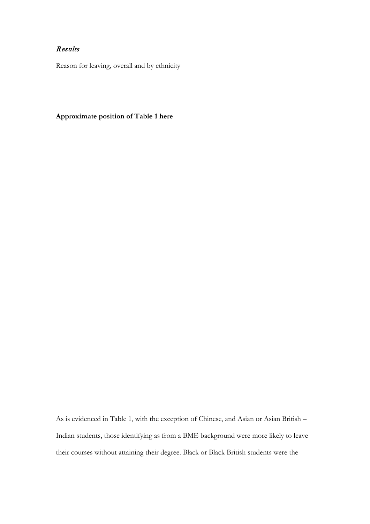# Results

Reason for leaving, overall and by ethnicity

**Approximate position of Table 1 here**

As is evidenced in Table 1, with the exception of Chinese, and Asian or Asian British – Indian students, those identifying as from a BME background were more likely to leave their courses without attaining their degree. Black or Black British students were the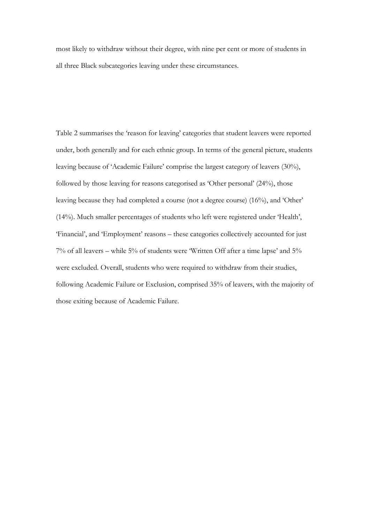most likely to withdraw without their degree, with nine per cent or more of students in all three Black subcategories leaving under these circumstances.

Table 2 summarises the 'reason for leaving' categories that student leavers were reported under, both generally and for each ethnic group. In terms of the general picture, students leaving because of 'Academic Failure' comprise the largest category of leavers (30%), followed by those leaving for reasons categorised as 'Other personal' (24%), those leaving because they had completed a course (not a degree course) (16%), and 'Other' (14%). Much smaller percentages of students who left were registered under 'Health', 'Financial', and 'Employment' reasons – these categories collectively accounted for just 7% of all leavers – while 5% of students were 'Written Off after a time lapse' and 5% were excluded. Overall, students who were required to withdraw from their studies, following Academic Failure or Exclusion, comprised 35% of leavers, with the majority of those exiting because of Academic Failure.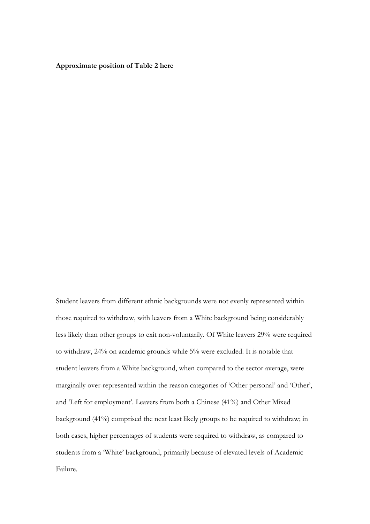**Approximate position of Table 2 here**

Student leavers from different ethnic backgrounds were not evenly represented within those required to withdraw, with leavers from a White background being considerably less likely than other groups to exit non-voluntarily. Of White leavers 29% were required to withdraw, 24% on academic grounds while 5% were excluded. It is notable that student leavers from a White background, when compared to the sector average, were marginally over-represented within the reason categories of 'Other personal' and 'Other', and 'Left for employment'. Leavers from both a Chinese (41%) and Other Mixed background (41%) comprised the next least likely groups to be required to withdraw; in both cases, higher percentages of students were required to withdraw, as compared to students from a 'White' background, primarily because of elevated levels of Academic Failure.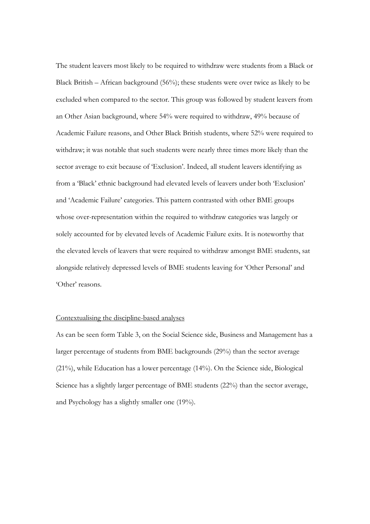The student leavers most likely to be required to withdraw were students from a Black or Black British – African background (56%); these students were over twice as likely to be excluded when compared to the sector. This group was followed by student leavers from an Other Asian background, where 54% were required to withdraw, 49% because of Academic Failure reasons, and Other Black British students, where 52% were required to withdraw; it was notable that such students were nearly three times more likely than the sector average to exit because of 'Exclusion'. Indeed, all student leavers identifying as from a 'Black' ethnic background had elevated levels of leavers under both 'Exclusion' and 'Academic Failure' categories. This pattern contrasted with other BME groups whose over-representation within the required to withdraw categories was largely or solely accounted for by elevated levels of Academic Failure exits. It is noteworthy that the elevated levels of leavers that were required to withdraw amongst BME students, sat alongside relatively depressed levels of BME students leaving for 'Other Personal' and 'Other' reasons.

#### Contextualising the discipline-based analyses

As can be seen form Table 3, on the Social Science side, Business and Management has a larger percentage of students from BME backgrounds (29%) than the sector average (21%), while Education has a lower percentage (14%). On the Science side, Biological Science has a slightly larger percentage of BME students (22%) than the sector average, and Psychology has a slightly smaller one (19%).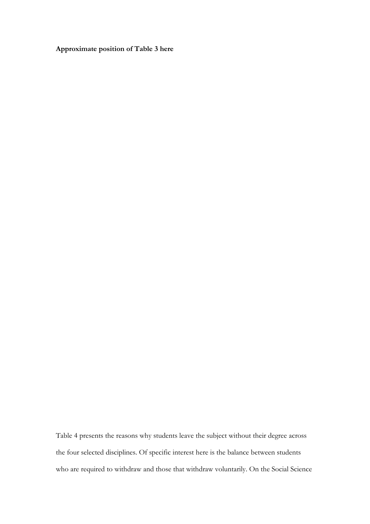**Approximate position of Table 3 here**

Table 4 presents the reasons why students leave the subject without their degree across the four selected disciplines. Of specific interest here is the balance between students who are required to withdraw and those that withdraw voluntarily. On the Social Science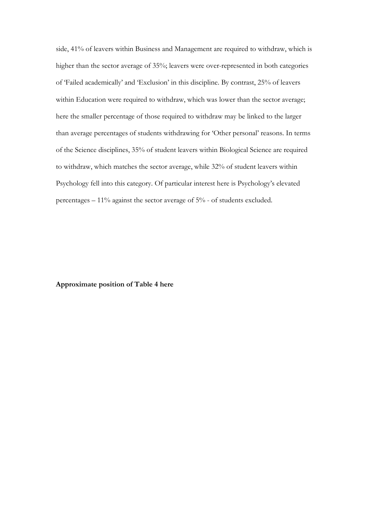side, 41% of leavers within Business and Management are required to withdraw, which is higher than the sector average of 35%; leavers were over-represented in both categories of 'Failed academically' and 'Exclusion' in this discipline. By contrast, 25% of leavers within Education were required to withdraw, which was lower than the sector average; here the smaller percentage of those required to withdraw may be linked to the larger than average percentages of students withdrawing for 'Other personal' reasons. In terms of the Science disciplines, 35% of student leavers within Biological Science are required to withdraw, which matches the sector average, while 32% of student leavers within Psychology fell into this category. Of particular interest here is Psychology's elevated percentages – 11% against the sector average of 5% - of students excluded.

# **Approximate position of Table 4 here**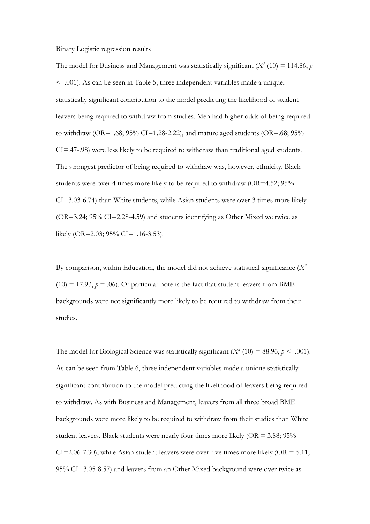#### Binary Logistic regression results

The model for Business and Management was statistically significant ( $X^2$  (10) = 114.86, *p* < .001). As can be seen in Table 5, three independent variables made a unique, statistically significant contribution to the model predicting the likelihood of student leavers being required to withdraw from studies. Men had higher odds of being required to withdraw (OR=1.68;  $95\%$  CI=1.28-2.22), and mature aged students (OR=.68;  $95\%$ ) CI=.47-.98) were less likely to be required to withdraw than traditional aged students. The strongest predictor of being required to withdraw was, however, ethnicity. Black students were over 4 times more likely to be required to withdraw (OR=4.52; 95% CI=3.03-6.74) than White students, while Asian students were over 3 times more likely (OR=3.24; 95% CI=2.28-4.59) and students identifying as Other Mixed we twice as likely (OR=2.03; 95% CI=1.16-3.53).

By comparison, within Education, the model did not achieve statistical significance (*X2*  $(10) = 17.93$ ,  $p = .06$ ). Of particular note is the fact that student leavers from BME backgrounds were not significantly more likely to be required to withdraw from their studies.

The model for Biological Science was statistically significant  $(X^2 (10) = 88.96, p < .001)$ . As can be seen from Table 6, three independent variables made a unique statistically significant contribution to the model predicting the likelihood of leavers being required to withdraw. As with Business and Management, leavers from all three broad BME backgrounds were more likely to be required to withdraw from their studies than White student leavers. Black students were nearly four times more likely  $(OR = 3.88; 95\%)$  $CI = 2.06 - 7.30$ , while Asian student leavers were over five times more likely (OR = 5.11; 95% CI=3.05-8.57) and leavers from an Other Mixed background were over twice as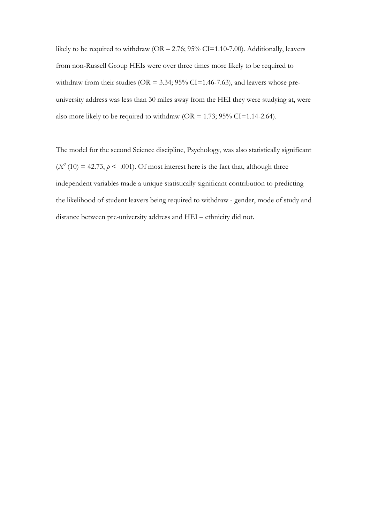likely to be required to withdraw  $(OR - 2.76; 95\% CI = 1.10-7.00)$ . Additionally, leavers from non-Russell Group HEIs were over three times more likely to be required to withdraw from their studies ( $OR = 3.34$ ;  $95\% CI = 1.46 - 7.63$ ), and leavers whose preuniversity address was less than 30 miles away from the HEI they were studying at, were also more likely to be required to withdraw ( $OR = 1.73$ ;  $95\%$  CI=1.14-2.64).

The model for the second Science discipline, Psychology, was also statistically significant  $(X<sup>2</sup> (10) = 42.73, p < .001)$ . Of most interest here is the fact that, although three independent variables made a unique statistically significant contribution to predicting the likelihood of student leavers being required to withdraw - gender, mode of study and distance between pre-university address and HEI – ethnicity did not.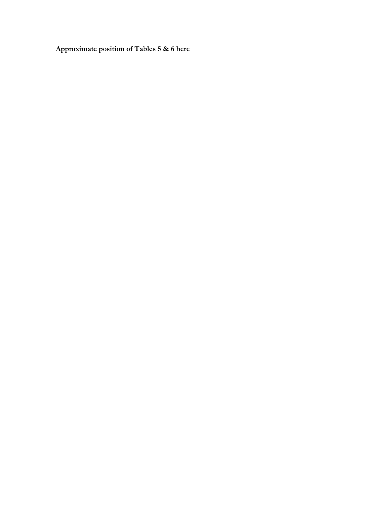**Approximate position of Tables 5 & 6 here**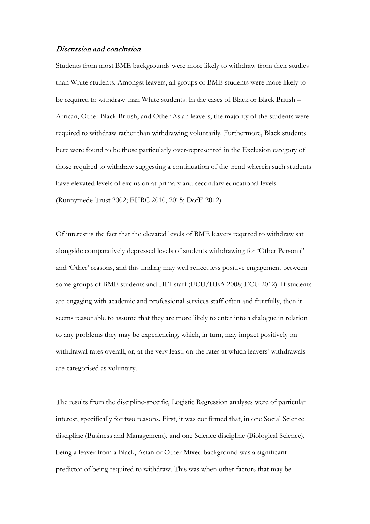### Discussion and conclusion

Students from most BME backgrounds were more likely to withdraw from their studies than White students. Amongst leavers, all groups of BME students were more likely to be required to withdraw than White students. In the cases of Black or Black British – African, Other Black British, and Other Asian leavers, the majority of the students were required to withdraw rather than withdrawing voluntarily. Furthermore, Black students here were found to be those particularly over-represented in the Exclusion category of those required to withdraw suggesting a continuation of the trend wherein such students have elevated levels of exclusion at primary and secondary educational levels (Runnymede Trust 2002; EHRC 2010, 2015; DofE 2012).

Of interest is the fact that the elevated levels of BME leavers required to withdraw sat alongside comparatively depressed levels of students withdrawing for 'Other Personal' and 'Other' reasons, and this finding may well reflect less positive engagement between some groups of BME students and HEI staff (ECU/HEA 2008; ECU 2012). If students are engaging with academic and professional services staff often and fruitfully, then it seems reasonable to assume that they are more likely to enter into a dialogue in relation to any problems they may be experiencing, which, in turn, may impact positively on withdrawal rates overall, or, at the very least, on the rates at which leavers' withdrawals are categorised as voluntary.

The results from the discipline-specific, Logistic Regression analyses were of particular interest, specifically for two reasons. First, it was confirmed that, in one Social Science discipline (Business and Management), and one Science discipline (Biological Science), being a leaver from a Black, Asian or Other Mixed background was a significant predictor of being required to withdraw. This was when other factors that may be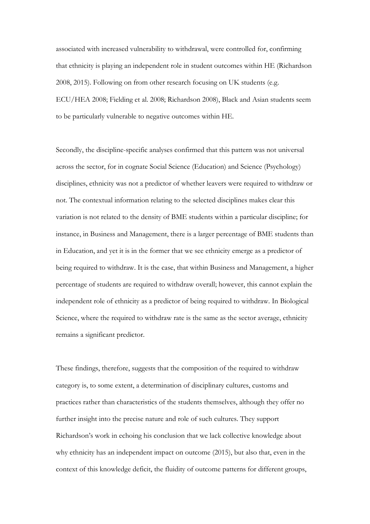associated with increased vulnerability to withdrawal, were controlled for, confirming that ethnicity is playing an independent role in student outcomes within HE (Richardson 2008, 2015). Following on from other research focusing on UK students (e.g. ECU/HEA 2008; Fielding et al. 2008; Richardson 2008), Black and Asian students seem to be particularly vulnerable to negative outcomes within HE.

Secondly, the discipline-specific analyses confirmed that this pattern was not universal across the sector, for in cognate Social Science (Education) and Science (Psychology) disciplines, ethnicity was not a predictor of whether leavers were required to withdraw or not. The contextual information relating to the selected disciplines makes clear this variation is not related to the density of BME students within a particular discipline; for instance, in Business and Management, there is a larger percentage of BME students than in Education, and yet it is in the former that we see ethnicity emerge as a predictor of being required to withdraw. It is the case, that within Business and Management, a higher percentage of students are required to withdraw overall; however, this cannot explain the independent role of ethnicity as a predictor of being required to withdraw. In Biological Science, where the required to withdraw rate is the same as the sector average, ethnicity remains a significant predictor.

These findings, therefore, suggests that the composition of the required to withdraw category is, to some extent, a determination of disciplinary cultures, customs and practices rather than characteristics of the students themselves, although they offer no further insight into the precise nature and role of such cultures. They support Richardson's work in echoing his conclusion that we lack collective knowledge about why ethnicity has an independent impact on outcome (2015), but also that, even in the context of this knowledge deficit, the fluidity of outcome patterns for different groups,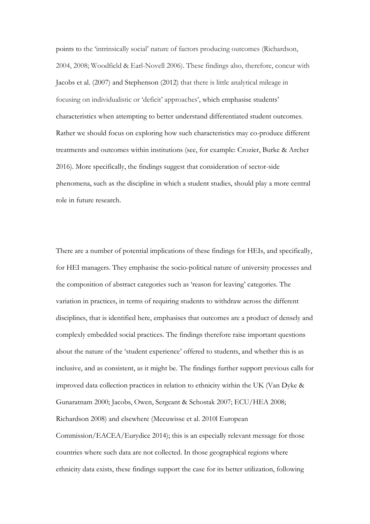points to the 'intrinsically social' nature of factors producing outcomes (Richardson, 2004, 2008; Woodfield & Earl-Novell 2006). These findings also, therefore, concur with Jacobs et al. (2007) and Stephenson (2012) that there is little analytical mileage in focusing on individualistic or 'deficit' approaches', which emphasise students' characteristics when attempting to better understand differentiated student outcomes. Rather we should focus on exploring how such characteristics may co-produce different treatments and outcomes within institutions (see, for example: Crozier, Burke & Archer 2016). More specifically, the findings suggest that consideration of sector-side phenomena, such as the discipline in which a student studies, should play a more central role in future research.

There are a number of potential implications of these findings for HEIs, and specifically, for HEI managers. They emphasise the socio-political nature of university processes and the composition of abstract categories such as 'reason for leaving' categories. The variation in practices, in terms of requiring students to withdraw across the different disciplines, that is identified here, emphasises that outcomes are a product of densely and complexly embedded social practices. The findings therefore raise important questions about the nature of the 'student experience' offered to students, and whether this is as inclusive, and as consistent, as it might be. The findings further support previous calls for improved data collection practices in relation to ethnicity within the UK (Van Dyke & Gunaratnam 2000; Jacobs, Owen, Sergeant & Schostak 2007; ECU/HEA 2008; Richardson 2008) and elsewhere (Meeuwisse et al. 2010l European Commission/EACEA/Eurydice 2014); this is an especially relevant message for those countries where such data are not collected. In those geographical regions where ethnicity data exists, these findings support the case for its better utilization, following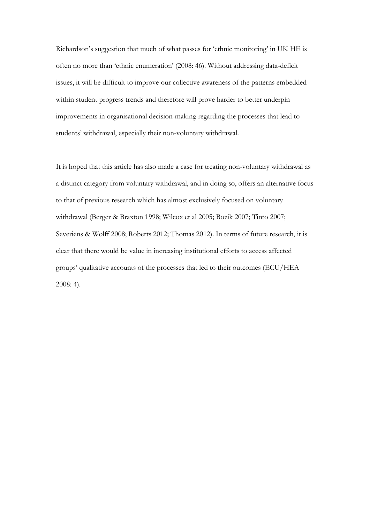Richardson's suggestion that much of what passes for 'ethnic monitoring' in UK HE is often no more than 'ethnic enumeration' (2008: 46). Without addressing data-deficit issues, it will be difficult to improve our collective awareness of the patterns embedded within student progress trends and therefore will prove harder to better underpin improvements in organisational decision-making regarding the processes that lead to students' withdrawal, especially their non-voluntary withdrawal.

It is hoped that this article has also made a case for treating non-voluntary withdrawal as a distinct category from voluntary withdrawal, and in doing so, offers an alternative focus to that of previous research which has almost exclusively focused on voluntary withdrawal (Berger & Braxton 1998; Wilcox et al 2005; Bozik 2007; Tinto 2007; Severiens & Wolff 2008; Roberts 2012; Thomas 2012). In terms of future research, it is clear that there would be value in increasing institutional efforts to access affected groups' qualitative accounts of the processes that led to their outcomes (ECU/HEA 2008: 4).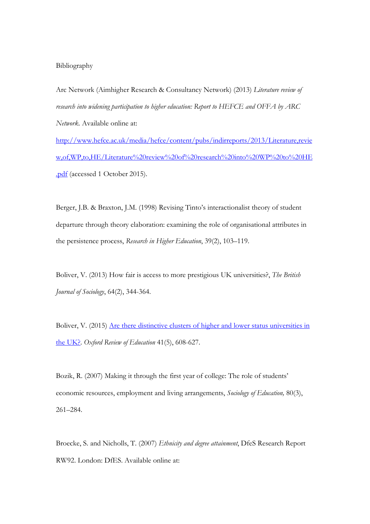# Bibliography

Arc Network (Aimhigher Research & Consultancy Network) (2013) *Literature review of research into widening participation to higher education: Report to HEFCE and OFFA by ARC Network*. Available online at:

[http://www.hefce.ac.uk/media/hefce/content/pubs/indirreports/2013/Literature,revie](http://www.hefce.ac.uk/media/hefce/content/pubs/indirreports/2013/Literature,review,of,WP,to,HE/Literature%20review%20of%20research%20into%20WP%20to%20HE.pdf) [w,of,WP,to,HE/Literature%20review%20of%20research%20into%20WP%20to%20HE](http://www.hefce.ac.uk/media/hefce/content/pubs/indirreports/2013/Literature,review,of,WP,to,HE/Literature%20review%20of%20research%20into%20WP%20to%20HE.pdf) [.pdf](http://www.hefce.ac.uk/media/hefce/content/pubs/indirreports/2013/Literature,review,of,WP,to,HE/Literature%20review%20of%20research%20into%20WP%20to%20HE.pdf) (accessed 1 October 2015).

Berger, J.B. & Braxton, J.M. (1998) Revising Tinto's interactionalist theory of student departure through theory elaboration: examining the role of organisational attributes in the persistence process, *Research in Higher Education*, 39(2), 103–119.

Boliver, V. (2013) How fair is access to more prestigious UK universities?, *The British Journal of Sociology*, 64(2), 344-364.

Boliver, V. (2015) Are there distinctive clusters of higher and lower status universities in [the UK?.](https://www.dur.ac.uk/sass/staff/profile/?mode=pdetail&id=9700&sid=9700&pdetail=95910) *Oxford Review of Education* 41(5), 608-627.

Bozik, R. (2007) Making it through the first year of college: The role of students' economic resources, employment and living arrangements, *Sociology of Education,* 80(3), 261–284.

Broecke, S. and Nicholls, T. (2007) *Ethnicity and degree attainment*, DfeS Research Report RW92. London: DfES. Available online at: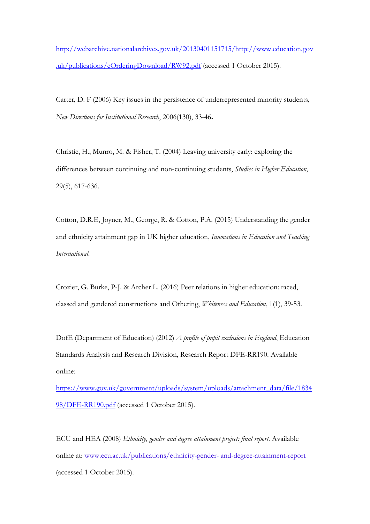[http://webarchive.nationalarchives.gov.uk/20130401151715/http://www.education.gov](http://webarchive.nationalarchives.gov.uk/20130401151715/http:/www.education.gov.uk/publications/eOrderingDownload/RW92.pdf) [.uk/publications/eOrderingDownload/RW92.pdf](http://webarchive.nationalarchives.gov.uk/20130401151715/http:/www.education.gov.uk/publications/eOrderingDownload/RW92.pdf) (accessed 1 October 2015).

Carter, D. F (2006) Key issues in the persistence of underrepresented minority students, *New Directions for Institutional Research*, 2006(130), 33-46**.**

Christie, H., Munro, M. & Fisher, T. (2004) Leaving university early: exploring the differences between continuing and non‐continuing students, *Studies in Higher Education*, 29(5), 617-636.

Cotton, D.R.E, Joyner, M., George, R. & Cotton, P.A. (2015) Understanding the gender and ethnicity attainment gap in UK higher education, *Innovations in Education and Teaching International*.

Crozier, G. Burke, P-J. & Archer L. (2016) Peer relations in higher education: raced, classed and gendered constructions and Othering, *Whiteness and Education*, 1(1), 39-53.

DofE (Department of Education) (2012) *A profile of pupil exclusions in England*, Education Standards Analysis and Research Division, Research Report DFE-RR190. Available online:

[https://www.gov.uk/government/uploads/system/uploads/attachment\\_data/file/1834](https://www.gov.uk/government/uploads/system/uploads/attachment_data/file/183498/DFE-RR190.pdf) [98/DFE-RR190.pdf](https://www.gov.uk/government/uploads/system/uploads/attachment_data/file/183498/DFE-RR190.pdf) (accessed 1 October 2015).

ECU and HEA (2008) *Ethnicity, gender and degree attainment project: final report*. Available online at: www.ecu.ac.uk/publications/ethnicity-gender- and-degree-attainment-report (accessed 1 October 2015).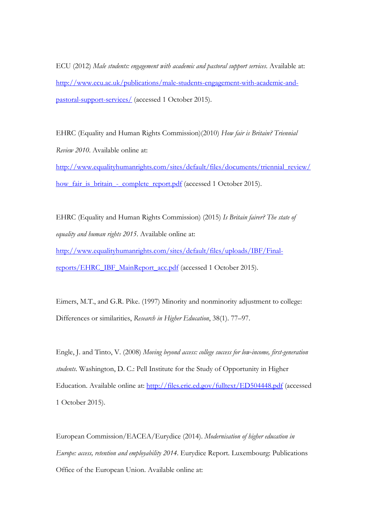ECU (2012) *Male students: engagement with academic and pastoral support services*. Available at: [http://www.ecu.ac.uk/publications/male-students-engagement-with-academic-and](http://www.ecu.ac.uk/publications/male-students-engagement-with-academic-and-pastoral-support-services/)[pastoral-support-services/](http://www.ecu.ac.uk/publications/male-students-engagement-with-academic-and-pastoral-support-services/) (accessed 1 October 2015).

EHRC (Equality and Human Rights Commission)(2010) *How fair is Britain? Triennial Review 2010*. Available online at:

[http://www.equalityhumanrights.com/sites/default/files/documents/triennial\\_review/](http://www.equalityhumanrights.com/sites/default/files/documents/triennial_review/how_fair_is_britain_-_complete_report.pdf) [how\\_fair\\_is\\_britain\\_-\\_complete\\_report.pdf](http://www.equalityhumanrights.com/sites/default/files/documents/triennial_review/how_fair_is_britain_-_complete_report.pdf) (accessed 1 October 2015).

EHRC (Equality and Human Rights Commission) (2015) *Is Britain fairer? The state of equality and human rights 2015*. Available online at:

[http://www.equalityhumanrights.com/sites/default/files/uploads/IBF/Final](http://www.equalityhumanrights.com/sites/default/files/uploads/IBF/Final-reports/EHRC_IBF_MainReport_acc.pdf)[reports/EHRC\\_IBF\\_MainReport\\_acc.pdf](http://www.equalityhumanrights.com/sites/default/files/uploads/IBF/Final-reports/EHRC_IBF_MainReport_acc.pdf) (accessed 1 October 2015).

Eimers, M.T., and G.R. Pike. (1997) Minority and nonminority adjustment to college: Differences or similarities, *Research in Higher Education*, 38(1). 77–97.

Engle, J. and Tinto, V. (2008) *Moving beyond access: college success for low-income, first-generation students*. Washington, D. C.: Pell Institute for the Study of Opportunity in Higher Education. Available online at: <http://files.eric.ed.gov/fulltext/ED504448.pdf> (accessed 1 October 2015).

European Commission/EACEA/Eurydice (2014). *Modernisation of higher education in Europe: access, retention and employability 2014*. Eurydice Report. Luxembourg: Publications Office of the European Union. Available online at: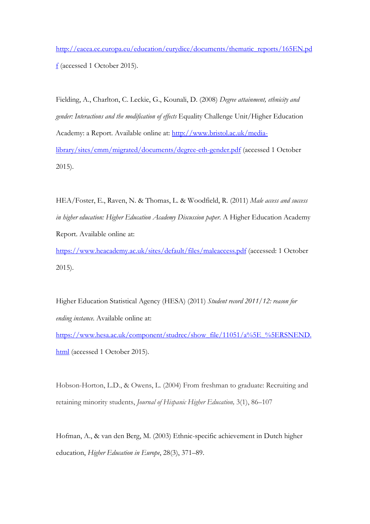[http://eacea.ec.europa.eu/education/eurydice/documents/thematic\\_reports/165EN.pd](http://eacea.ec.europa.eu/education/eurydice/documents/thematic_reports/165EN.pdf) [f](http://eacea.ec.europa.eu/education/eurydice/documents/thematic_reports/165EN.pdf) (accessed 1 October 2015).

Fielding, A., Charlton, C. Leckie, G., Kounali, D. (2008) *Degree attainment, ethnicity and gender: Interactions and the modification of effects* Equality Challenge Unit/Higher Education Academy: a Report. Available online at: [http://www.bristol.ac.uk/media](http://www.bristol.ac.uk/media-library/sites/cmm/migrated/documents/degree-eth-gender.pdf)[library/sites/cmm/migrated/documents/degree-eth-gender.pdf](http://www.bristol.ac.uk/media-library/sites/cmm/migrated/documents/degree-eth-gender.pdf) (accessed 1 October 2015).

HEA/Foster, E., Raven, N. & Thomas, L. & Woodfield, R. (2011) *Male access and success in higher education: Higher Education Academy Discussion paper*. A Higher Education Academy Report. Available online at:

<https://www.heacademy.ac.uk/sites/default/files/maleaccess.pdf> (accessed: 1 October 2015).

Higher Education Statistical Agency (HESA) (2011) *Student record 2011/12: reason for ending instance*. Available online at:

[https://www.hesa.ac.uk/component/studrec/show\\_file/11051/a%5E\\_%5ERSNEND.](https://www.hesa.ac.uk/component/studrec/show_file/11051/a%5E_%5ERSNEND.html) [html](https://www.hesa.ac.uk/component/studrec/show_file/11051/a%5E_%5ERSNEND.html) (accessed 1 October 2015).

Hobson-Horton, L.D., & Owens, L. (2004) From freshman to graduate: Recruiting and retaining minority students, *Journal of Hispanic Higher Education,* 3(1), 86–107

Hofman, A., & van den Berg, M. (2003) Ethnic-specific achievement in Dutch higher education, *Higher Education in Europe*, 28(3), 371–89.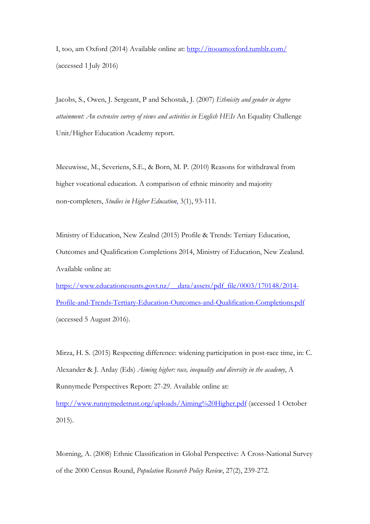I, too, am Oxford (2014) Available online at:<http://itooamoxford.tumblr.com/> (accessed 1 July 2016)

Jacobs, S., Owen, J. Sergeant, P and Schostak, J. (2007) *Ethnicity and gender in degree attainment: An extensive survey of views and activities in English HEIs* An Equality Challenge Unit/Higher Education Academy report.

Meeuwisse, M., Severiens, S.E., & Born, M. P. (2010) [Reasons for withdrawal from](http://www.tandfonline.com/doi/abs/10.1080/03075070902906780)  [higher vocational education. A comparison of ethnic minority and majority](http://www.tandfonline.com/doi/abs/10.1080/03075070902906780)  non‐[completers,](http://www.tandfonline.com/doi/abs/10.1080/03075070902906780) *Studies in Higher Education*, 3(1), 93-111.

Ministry of Education, New Zealnd (2015) Profile & Trends: Tertiary Education, Outcomes and Qualification Completions 2014, Ministry of Education, New Zealand. Available online at:

[https://www.educationcounts.govt.nz/\\_\\_data/assets/pdf\\_file/0003/170148/2014-](https://www.educationcounts.govt.nz/__data/assets/pdf_file/0003/170148/2014-Profile-and-Trends-Tertiary-Education-Outcomes-and-Qualification-Completions.pdf) [Profile-and-Trends-Tertiary-Education-Outcomes-and-Qualification-Completions.pdf](https://www.educationcounts.govt.nz/__data/assets/pdf_file/0003/170148/2014-Profile-and-Trends-Tertiary-Education-Outcomes-and-Qualification-Completions.pdf) (accessed 5 August 2016).

Mirza, H. S. (2015) Respecting difference: widening participation in post-race time, in: C. Alexander & J. Arday (Eds) *Aiming higher: race, inequality and diversity in the academy*, A Runnymede Perspectives Report: 27-29. Available online at:

<http://www.runnymedetrust.org/uploads/Aiming%20Higher.pdf> (accessed 1 October 2015).

Morning, A. (2008) Ethnic Classification in Global Perspective: A Cross-National Survey of the 2000 Census Round, *Population Research Policy Review*, 27(2), 239-272.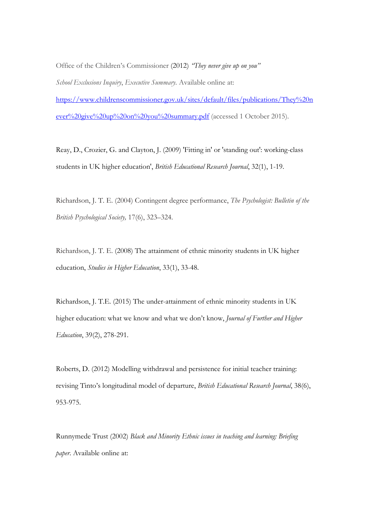Office of the Children's Commissioner (2012) *"They never give up on you" School Exclusions Inquiry*, *Executive Summary*. Available online at: [https://www.childrenscommissioner.gov.uk/sites/default/files/publications/They%20n](https://www.childrenscommissioner.gov.uk/sites/default/files/publications/They%20never%20give%20up%20on%20you%20summary.pdf) [ever%20give%20up%20on%20you%20summary.pdf](https://www.childrenscommissioner.gov.uk/sites/default/files/publications/They%20never%20give%20up%20on%20you%20summary.pdf) (accessed 1 October 2015).

Reay, D., Crozier, G. and Clayton, J. (2009) 'Fitting in' or 'standing out': working-class students in UK higher education', *British Educational Research Journal*, 32(1), 1-19.

Richardson, J. T. E. (2004) Contingent degree performance, *The Psychologist: Bulletin of the British Psychological Society,* 17(6), 323–324.

Richardson, J. T. E. (2008) The attainment of ethnic minority students in UK higher education, *Studies in Higher Education*, 33(1), 33-48.

Richardson, J. T.E. (2015) The under-attainment of ethnic minority students in UK higher education: what we know and what we don't know, *Journal of Further and Higher Education*, 39(2), 278-291.

Roberts, D. (2012) Modelling withdrawal and persistence for initial teacher training: revising Tinto's longitudinal model of departure, *British Educational Research Journal*, 38(6), 953-975.

Runnymede Trust (2002) *Black and Minority Ethnic issues in teaching and learning: Briefing paper*. Available online at: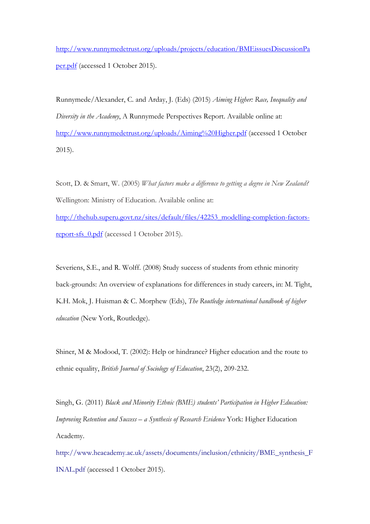[http://www.runnymedetrust.org/uploads/projects/education/BMEissuesDiscussionPa](http://www.runnymedetrust.org/uploads/projects/education/BMEissuesDiscussionPaper.pdf) [per.pdf](http://www.runnymedetrust.org/uploads/projects/education/BMEissuesDiscussionPaper.pdf) (accessed 1 October 2015).

Runnymede/Alexander, C. and Arday, J. (Eds) (2015) *Aiming Higher: Race, Inequality and Diversity in the Academy*, A Runnymede Perspectives Report. Available online at: <http://www.runnymedetrust.org/uploads/Aiming%20Higher.pdf> (accessed 1 October 2015).

Scott, D. & Smart, W. (2005) *What factors make a difference to getting a degree in New Zealand?*  Wellington: Ministry of Education. Available online at: [http://thehub.superu.govt.nz/sites/default/files/42253\\_modelling-completion-factors](http://thehub.superu.govt.nz/sites/default/files/42253_modelling-completion-factors-report-sfs_0.pdf)[report-sfs\\_0.pdf](http://thehub.superu.govt.nz/sites/default/files/42253_modelling-completion-factors-report-sfs_0.pdf) (accessed 1 October 2015).

Severiens, S.E., and R. Wolff. (2008) Study success of students from ethnic minority back-grounds: An overview of explanations for differences in study careers, in: M. Tight, K.H. Mok, J. Huisman & C. Morphew (Eds), *The Routledge international handbook of higher education* (New York, Routledge).

Shiner, M & Modood, T. (2002): Help or hindrance? Higher education and the route to ethnic equality, *British Journal of Sociology of Education*, 23(2), 209-232.

Singh, G. (2011) *Black and Minority Ethnic (BME) students' Participation in Higher Education: Improving Retention and Success – a Synthesis of Research Evidence* York: Higher Education Academy.

http://www.heacademy.ac.uk/assets/documents/inclusion/ethnicity/BME\_synthesis\_F INAL.pdf (accessed 1 October 2015).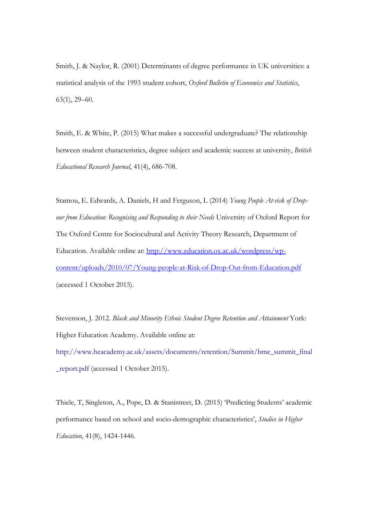Smith, J. & Naylor, R. (2001) Determinants of degree performance in UK universities: a statistical analysis of the 1993 student cohort, *Oxford Bulletin of Economics and Statistics*, 63(1), 29–60.

Smith, E. & White, P. (2015) What makes a successful undergraduate? The relationship between student characteristics, degree subject and academic success at university, *British Educational Research Journal*, 41(4), 686-708.

Stamou, E. Edwards, A. Daniels, H and Ferguson, L (2014) *Young People At-risk of Dropour from Education: Recognising and Responding to their Needs* University of Oxford Report for The Oxford Centre for Sociocultural and Activity Theory Research, Department of Education. Available online at: [http://www.education.ox.ac.uk/wordpress/wp](http://www.education.ox.ac.uk/wordpress/wp-content/uploads/2010/07/Young-people-at-Risk-of-Drop-Out-from-Education.pdf)[content/uploads/2010/07/Young-people-at-Risk-of-Drop-Out-from-Education.pdf](http://www.education.ox.ac.uk/wordpress/wp-content/uploads/2010/07/Young-people-at-Risk-of-Drop-Out-from-Education.pdf) (accessed 1 October 2015).

Stevenson, J. 2012. *Black and Minority Ethnic Student Degree Retention and Attainment* York: Higher Education Academy. Available online at: http://www.heacademy.ac.uk/assets/documents/retention/Summit/bme\_summit\_final \_report.pdf (accessed 1 October 2015).

Thiele, T, Singleton, A., Pope, D. & Stanistreet, D. (2015) 'Predicting Students' academic performance based on school and socio-demographic characteristics', *Studies in Higher Education*, 41(8), 1424-1446.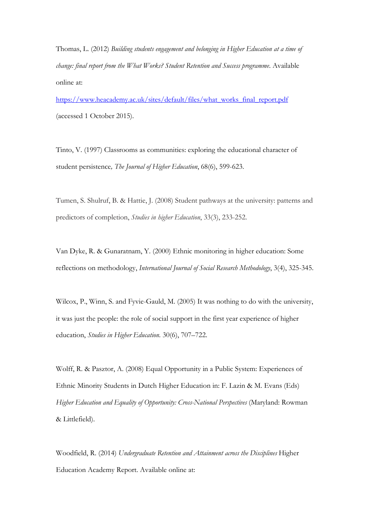Thomas, L. (2012) *Building students engagement and belonging in Higher Education at a time of change: final report from the What Works? Student Retention and Success programme*. Available online at:

[https://www.heacademy.ac.uk/sites/default/files/what\\_works\\_final\\_report.pdf](https://www.heacademy.ac.uk/sites/default/files/what_works_final_report.pdf) (accessed 1 October 2015).

Tinto, V. (1997) Classrooms as communities: exploring the educational character of student persistence*, The Journal of Higher Education*, 68(6), 599-623.

Tumen, S. Shulruf, B. & Hattie, J. (2008) Student pathways at the university: patterns and predictors of completion, *Studies in higher Education*, 33(3), 233-252.

Van Dyke, R. & Gunaratnam, Y. (2000) Ethnic monitoring in higher education: Some reflections on methodology, *International Journal of Social Research Methodology*, 3(4), 325-345.

Wilcox, P., Winn, S. and Fyvie-Gauld, M. (2005) It was nothing to do with the university, it was just the people: the role of social support in the first year experience of higher education, *Studies in Higher Education.* 30(6), 707–722.

Wolff, R. & Pasztor, A. (2008) Equal Opportunity in a Public System: Experiences of Ethnic Minority Students in Dutch Higher Education in: F. Lazin & M. Evans (Eds) *Higher Education and Equality of Opportunity: Cross-National Perspectives* (Maryland: Rowman & Littlefield).

Woodfield, R. (2014) *Undergraduate Retention and Attainment across the Disciplines* Higher Education Academy Report. Available online at: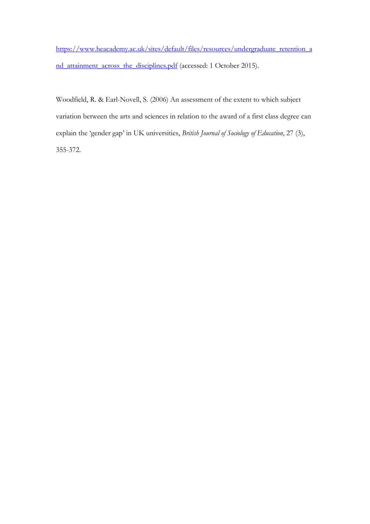[https://www.heacademy.ac.uk/sites/default/files/resources/undergraduate\\_retention\\_a](https://www.heacademy.ac.uk/sites/default/files/resources/undergraduate_retention_and_attainment_across_the_disciplines.pdf) [nd\\_attainment\\_across\\_the\\_disciplines.pdf](https://www.heacademy.ac.uk/sites/default/files/resources/undergraduate_retention_and_attainment_across_the_disciplines.pdf) (accessed: 1 October 2015).

Woodfield, R. & Earl-Novell, S. (2006) An assessment of the extent to which subject variation between the arts and sciences in relation to the award of a first class degree can explain the 'gender gap' in UK universities, *British Journal of Sociology of Education*, 27 (3), 355-372.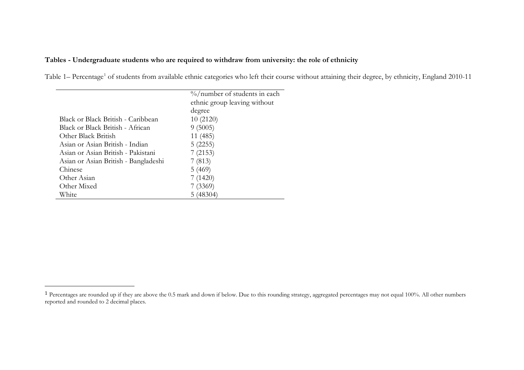# <span id="page-41-0"></span>**Tables - Undergraduate students who are required to withdraw from university: the role of ethnicity**

Table [1](#page-41-0)– Percentage<sup>1</sup> of students from available ethnic categories who left their course without attaining their degree, by ethnicity, England 2010-11

|                                      | $\%$ /number of students in each |
|--------------------------------------|----------------------------------|
|                                      | ethnic group leaving without     |
|                                      | degree                           |
| Black or Black British - Caribbean   | 10(2120)                         |
| Black or Black British - African     | 9(5005)                          |
| Other Black British                  | 11 (485)                         |
| Asian or Asian British - Indian      | 5(2255)                          |
| Asian or Asian British - Pakistani   | 7(2153)                          |
| Asian or Asian British - Bangladeshi | 7(813)                           |
| Chinese                              | 5(469)                           |
| Other Asian                          | 7(1420)                          |
| Other Mixed                          | 7(3369)                          |
| White                                | 5(48304)                         |

<sup>&</sup>lt;sup>1</sup> Percentages are rounded up if they are above the 0.5 mark and down if below. Due to this rounding strategy, aggregated percentages may not equal 100%. All other numbers reported and rounded to 2 decimal places.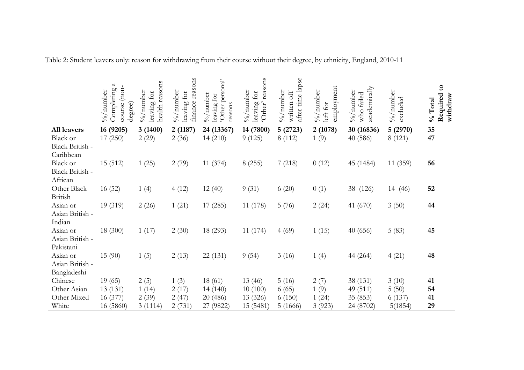|                              | $\mathfrak{a}$<br>Completing<br>(non-<br>$\frac{1}{2}$ /number<br>course<br>degree) | reasons<br>$\%$ /number<br>leaving for<br>health | finance reasons<br>$\%$ /number<br>leaving for | 'Other personal'<br>$\frac{1}{2}$ /number<br>leaving for<br>reasons | reasons<br>$\%$ /number<br>leaving for<br>'Other' | after time lapse<br>$\%$ /number<br>written off | employment<br>%/ $\mu$ number<br>left for | academically<br>$\%$ /number<br>who failed | $\frac{9}{6}$ /number<br>excluded | Required to<br>withdraw<br>$%$ Total |
|------------------------------|-------------------------------------------------------------------------------------|--------------------------------------------------|------------------------------------------------|---------------------------------------------------------------------|---------------------------------------------------|-------------------------------------------------|-------------------------------------------|--------------------------------------------|-----------------------------------|--------------------------------------|
| All leavers                  | 16 (9205)                                                                           | 3(1400)                                          | 2(1187)                                        | 24 (13367)                                                          | 14 (7800)                                         | 5(2723)                                         | 2(1078)                                   | 30 (16836)                                 | 5(2970)                           | 35                                   |
| Black or                     | 17(250)                                                                             | 2(29)                                            | 2(36)                                          | 14(210)                                                             | 9(125)                                            | 8 (112)                                         | 1(9)                                      | 40(586)                                    | 8(121)                            | 47                                   |
| Black British -<br>Caribbean |                                                                                     |                                                  |                                                |                                                                     |                                                   |                                                 |                                           |                                            |                                   |                                      |
| Black or                     | 15 (512)                                                                            | 1(25)                                            | 2(79)                                          | 11(374)                                                             | 8(255)                                            | 7(218)                                          | 0(12)                                     | 45 (1484)                                  | 11(359)                           | 56                                   |
| Black British -              |                                                                                     |                                                  |                                                |                                                                     |                                                   |                                                 |                                           |                                            |                                   |                                      |
| African                      |                                                                                     |                                                  |                                                |                                                                     |                                                   |                                                 |                                           |                                            |                                   |                                      |
| Other Black<br>British       | 16(52)                                                                              | 1(4)                                             | 4(12)                                          | 12(40)                                                              | 9(31)                                             | 6(20)                                           | 0(1)                                      | 38 (126)                                   | 14 (46)                           | 52                                   |
| Asian or                     | 19 (319)                                                                            | 2(26)                                            | 1(21)                                          | 17(285)                                                             | 11(178)                                           | 5(76)                                           | 2(24)                                     | 41 $(670)$                                 | 3(50)                             | 44                                   |
| Asian British -              |                                                                                     |                                                  |                                                |                                                                     |                                                   |                                                 |                                           |                                            |                                   |                                      |
| Indian                       |                                                                                     |                                                  |                                                |                                                                     |                                                   |                                                 |                                           |                                            |                                   |                                      |
| Asian or<br>Asian British -  | 18 (300)                                                                            | 1(17)                                            | 2(30)                                          | 18 (293)                                                            | 11(174)                                           | 4(69)                                           | 1(15)                                     | 40(656)                                    | 5(83)                             | 45                                   |
| Pakistani                    |                                                                                     |                                                  |                                                |                                                                     |                                                   |                                                 |                                           |                                            |                                   |                                      |
| Asian or                     | 15(90)                                                                              | 1(5)                                             | 2(13)                                          | 22 (131)                                                            | 9(54)                                             | 3(16)                                           | 1(4)                                      | 44 (264)                                   | 4(21)                             | 48                                   |
| Asian British -              |                                                                                     |                                                  |                                                |                                                                     |                                                   |                                                 |                                           |                                            |                                   |                                      |
| Bangladeshi                  |                                                                                     |                                                  |                                                |                                                                     |                                                   |                                                 |                                           |                                            |                                   |                                      |
| Chinese                      | 19(65)                                                                              | 2(5)                                             | 1(3)                                           | 18(61)                                                              | 13(46)                                            | 5(16)                                           | 2(7)                                      | 38 (131)                                   | 3(10)                             | 41                                   |
| Other Asian                  | 13 (131)                                                                            | 1(14)                                            | 2(17)                                          | 14 (140)                                                            | 10(100)                                           | 6(65)                                           | 1(9)                                      | 49 (511)                                   | 5(50)                             | 54                                   |
| Other Mixed                  | 16(377)                                                                             | 2(39)                                            | 2(47)                                          | 20 (486)                                                            | 13 (326)                                          | 6(150)                                          | 1(24)                                     | 35 (853)                                   | 6(137)                            | 41                                   |
| White                        | 16 (5860)                                                                           | 3(1114)                                          | 2(731)                                         | 27 (9822)                                                           | 15 (5481)                                         | 5(1666)                                         | 3(923)                                    | 24 (8702)                                  | 5(1854)                           | 29                                   |

Table 2: Student leavers only: reason for withdrawing from their course without their degree, by ethnicity, England, 2010-11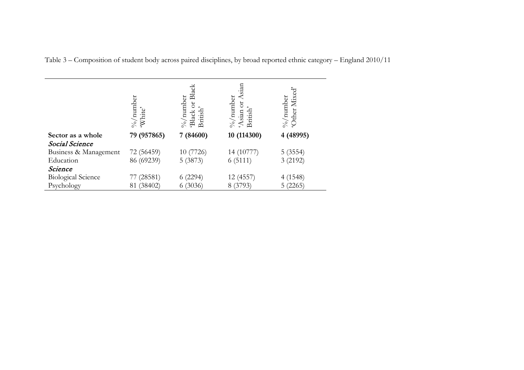|                           | %/ $\mu$ number<br>'White' | Black<br>$\frac{1}{2}$ /number<br>bt<br>British<br>Black | cian<br>$\% /$ number<br>ð<br>Asian<br>British | 'Other Mixed'<br>%/ $\mu$ aumber |
|---------------------------|----------------------------|----------------------------------------------------------|------------------------------------------------|----------------------------------|
| Sector as a whole         | 79 (957865)                | 7 (84600)                                                | 10 (114300)                                    | 4 (48995)                        |
| Social Science            |                            |                                                          |                                                |                                  |
| Business & Management     | 72 (56459)                 | 10 (7726)                                                | 14 (10777)                                     | 5(3554)                          |
| Education                 | 86 (69239)                 | 5(3873)                                                  | 6(5111)                                        | 3 (2192)                         |
| Science                   |                            |                                                          |                                                |                                  |
| <b>Biological Science</b> | (28581)                    | (2294)                                                   | 12 (4557)                                      | 4 (1548)                         |
| Psychology                | (38402)<br>81              | (3036)<br>O.                                             | 8 (3793)                                       | 5(2265)                          |

Table 3 – Composition of student body across paired disciplines, by broad reported ethnic category – England 2010/11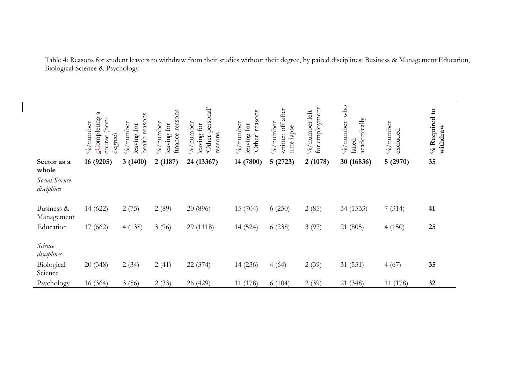Table 4: Reasons for student leavers to withdraw from their studies without their degree, by paired disciplines: Business & Management Education, Biological Science & Psychology

| Sector as a<br>whole          | $\mathfrak{a}$<br>ccompleting<br>(non-<br>$\frac{1}{2}$ /number<br>degree)<br>course<br>16 (9205) | reasons<br>$\%$ /number<br>leaving for<br>health<br>3(1400) | reasons<br>$\frac{1}{2}$ /aumber<br>leaving for<br>finance:<br>2(1187) | personal'<br>$\%$ /number<br>leaving for<br>reasons<br>Other<br>24 (13367) | reasons<br>$\%$ /number<br>for<br>'Other'<br>leaving<br>14 (7800) | after<br>$\frac{6}{100}$ and $\frac{6}{100}$<br>written off<br>time lapse<br>5(2723) | for employment<br>$\% /$ number left<br>2(1078) | who<br>academically<br>$\frac{9}{6}$ /number<br>failed<br>30 (16836) | $\%$ /number<br>$\alpha$ cluded<br>5(2970) | % Required to<br>withdraw<br>35 |
|-------------------------------|---------------------------------------------------------------------------------------------------|-------------------------------------------------------------|------------------------------------------------------------------------|----------------------------------------------------------------------------|-------------------------------------------------------------------|--------------------------------------------------------------------------------------|-------------------------------------------------|----------------------------------------------------------------------|--------------------------------------------|---------------------------------|
| Social Science<br>disciplines |                                                                                                   |                                                             |                                                                        |                                                                            |                                                                   |                                                                                      |                                                 |                                                                      |                                            |                                 |
| Business &<br>Management      | 14 (622)                                                                                          | 2(75)                                                       | 2(89)                                                                  | 20 (896)                                                                   | 15(704)                                                           | 6(250)                                                                               | 2(85)                                           | 34 (1533)                                                            | 7(314)                                     | 41                              |
| Education                     | 17 (662)                                                                                          | 4(138)                                                      | 3(96)                                                                  | 29 (1118)                                                                  | 14 (524)                                                          | 6(238)                                                                               | 3(97)                                           | 21 (805)                                                             | 4(150)                                     | 25                              |
| Science<br>disciplines        |                                                                                                   |                                                             |                                                                        |                                                                            |                                                                   |                                                                                      |                                                 |                                                                      |                                            |                                 |
| Biological<br>Science         | 20(348)                                                                                           | 2(34)                                                       | 2(41)                                                                  | 22 (374)                                                                   | 14 (236)                                                          | 4(64)                                                                                | 2(39)                                           | 31 (531)                                                             | 4(67)                                      | 35                              |
| Psychology                    | 16 (364)                                                                                          | 3(56)                                                       | 2(33)                                                                  | 26 (429)                                                                   | 11 (178)                                                          | 6(104)                                                                               | 2(39)                                           | 21 (348)                                                             | 11 (178)                                   | 32                              |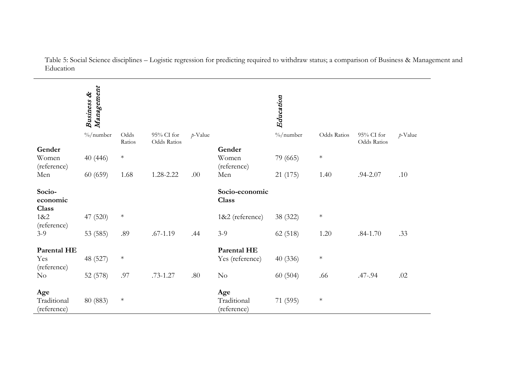Table 5: Social Science disciplines – Logistic regression for predicting required to withdraw status; a comparison of Business & Management and Education

|                                   | Management<br>Business & |                |                           |            |                                   | Education             |             |                           |            |
|-----------------------------------|--------------------------|----------------|---------------------------|------------|-----------------------------------|-----------------------|-------------|---------------------------|------------|
|                                   | $\frac{0}{0}$ /number    | Odds<br>Ratios | 95% CI for<br>Odds Ratios | $p$ -Value |                                   | $\frac{0}{0}$ /number | Odds Ratios | 95% CI for<br>Odds Ratios | $p$ -Value |
| Gender                            |                          |                |                           |            | Gender                            |                       |             |                           |            |
| Women<br>(reference)              | 40(446)                  | $\ast$         |                           |            | Women<br>(reference)              | 79 (665)              | $\ast$      |                           |            |
| Men                               | 60(659)                  | 1.68           | 1.28-2.22                 | .00        | Men                               | 21 (175)              | 1.40        | .94-2.07                  | .10        |
| Socio-<br>economic<br>Class       |                          |                |                           |            | Socio-economic<br>Class           |                       |             |                           |            |
| 1&8:2<br>(reference)              | 47 (520)                 | $\ast$         |                           |            | 1&2 (reference)                   | 38 (322)              | $\ast$      |                           |            |
| $3-9$                             | 53 (585)                 | .89            | $.67 - 1.19$              | .44        | $3-9$                             | 62 (518)              | 1.20        | $.84 - 1.70$              | .33        |
| Parental HE<br>Yes<br>(reference) | 48 (527)                 | $\ast$         |                           |            | Parental HE<br>Yes (reference)    | 40(336)               | $\ast$      |                           |            |
| N <sub>o</sub>                    | 52 (578)                 | .97            | $.73 - 1.27$              | .80        | $\rm No$                          | 60(504)               | .66         | .47-.94                   | .02        |
| Age<br>Traditional<br>(reference) | 80 (883)                 | $\ast$         |                           |            | Age<br>Traditional<br>(reference) | 71 (595)              | $\ast$      |                           |            |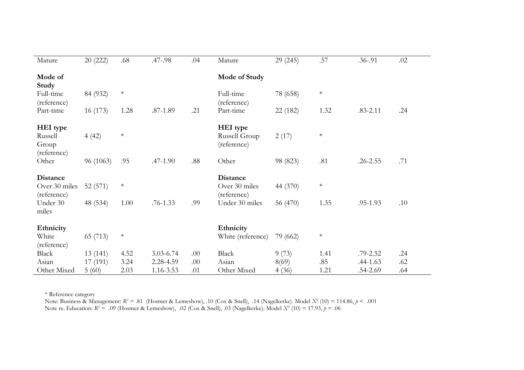| Mature                                                               | 20(222)             | .68            | .47-.98      | .04 | Mature                                                            | 29 (245)             | .57            | $.36 - .91$  | .02 |
|----------------------------------------------------------------------|---------------------|----------------|--------------|-----|-------------------------------------------------------------------|----------------------|----------------|--------------|-----|
| Mode of<br>Study                                                     |                     |                |              |     | Mode of Study                                                     |                      |                |              |     |
| Full-time<br>(reference)                                             | 84 (932)            | $\ast$         |              |     | Full-time<br>(reference)                                          | 78 (658)             | $\ast$         |              |     |
| Part-time                                                            | 16(173)             | 1.28           | $.87 - 1.89$ | .21 | Part-time                                                         | 22 (182)             | 1.32           | $.83 - 2.11$ | .24 |
| HEI type<br>Russell<br>Group<br>(reference)                          | 4(42)               | $\ast$         |              |     | HEI type<br>Russell Group<br>(reference)                          | 2(17)                | $\ast$         |              |     |
| Other                                                                | 96 (1063)           | .95            | $.47 - 1.90$ | .88 | Other                                                             | 98 (823)             | .81            | .26-2.55     | .71 |
| <b>Distance</b><br>Over 30 miles<br>(reference)<br>Under 30<br>miles | 52(571)<br>48 (534) | $\ast$<br>1.00 | $.76 - 1.33$ | .99 | <b>Distance</b><br>Over 30 miles<br>(reference)<br>Under 30 miles | 44 (370)<br>56 (470) | $\ast$<br>1.35 | .95-1.93     | .10 |
| Ethnicity<br>White<br>(reference)                                    | 65 (713)            | $\ast$         |              |     | Ethnicity<br>White (reference)                                    | 79 (662)             | $\ast$         |              |     |
| Black                                                                | 13(141)             | 4.52           | 3.03-6.74    | .00 | Black                                                             | 9(73)                | 1.41           | $.79 - 2.52$ | .24 |
| Asian                                                                | 17(191)             | 3.24           | 2.28-4.59    | .00 | Asian                                                             | 8(69)                | .85            | $.44 - 1.63$ | .62 |
| Other Mixed                                                          | 5(60)               | 2.03           | 1.16-3.53    | .01 | Other Mixed                                                       | 4(36)                | 1.21           | .54-2.69     | .64 |

\* Reference category

Note: Business & Management: *R2* = .81 (Hosmer & Lemeshow), .10 (Cox & Snell), .14 (Nagelkerke). Model *X2* (10) = 114.86, *p* < .001 Note re. Education: *R2* = .09 (Hosmer & Lemeshow), .02 (Cox & Snell), .03 (Nagelkerke). Model *X2* (10) = 17.93, *p* = .06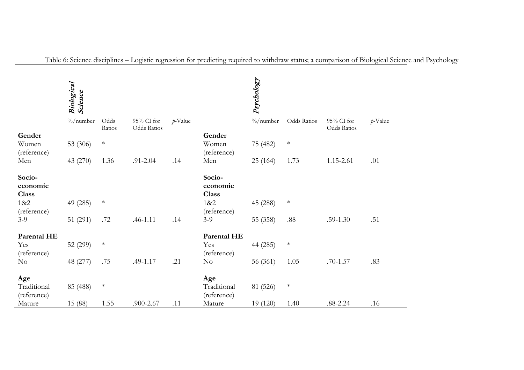|                                    | Biological<br>Science |                |                           |            |                                    | Psychology            |             |                           |            |
|------------------------------------|-----------------------|----------------|---------------------------|------------|------------------------------------|-----------------------|-------------|---------------------------|------------|
|                                    | $\%$ /number          | Odds<br>Ratios | 95% CI for<br>Odds Ratios | $p$ -Value |                                    | $\frac{0}{0}$ /number | Odds Ratios | 95% CI for<br>Odds Ratios | $p$ -Value |
| Gender                             |                       |                |                           |            | Gender                             |                       |             |                           |            |
| Women<br>(reference)               | 53 (306)              | $\ast$         |                           |            | Women<br>(reference)               | 75 (482)              | $\ast$      |                           |            |
| Men                                | 43 (270)              | 1.36           | .91-2.04                  | .14        | Men                                | 25(164)               | 1.73        | 1.15-2.61                 | .01        |
| Socio-<br>economic<br><b>Class</b> |                       |                |                           |            | Socio-<br>economic<br><b>Class</b> |                       |             |                           |            |
| 1&2<br>(reference)                 | 49 (285)              | $\ast$         |                           |            | 1&2<br>(reference)                 | 45 (288)              | $\ast$      |                           |            |
| $3-9$                              | 51 (291)              | .72            | $.46 - 1.11$              | .14        | $3-9$                              | 55 (358)              | $.88\,$     | $.59-1.30$                | .51        |
| <b>Parental HE</b>                 |                       |                |                           |            | Parental HE                        |                       |             |                           |            |
| Yes<br>(reference)                 | 52 (299)              | $\ast$         |                           |            | Yes<br>(reference)                 | 44 (285)              | $\ast$      |                           |            |
| No                                 | 48 (277)              | .75            | .49-1.17                  | .21        | $\rm No$                           | 56 (361)              | 1.05        | $.70 - 1.57$              | .83        |
| Age<br>Traditional<br>(reference)  | 85 (488)              | $\ast$         |                           |            | Age<br>Traditional<br>(reference)  | 81 (526)              | $\ast$      |                           |            |
| Mature                             | 15 (88)               | 1.55           | .900-2.67                 | .11        | Mature                             | 19 (120)              | 1.40        | $.88 - 2.24$              | .16        |

Table 6: Science disciplines – Logistic regression for predicting required to withdraw status; a comparison of Biological Science and Psychology